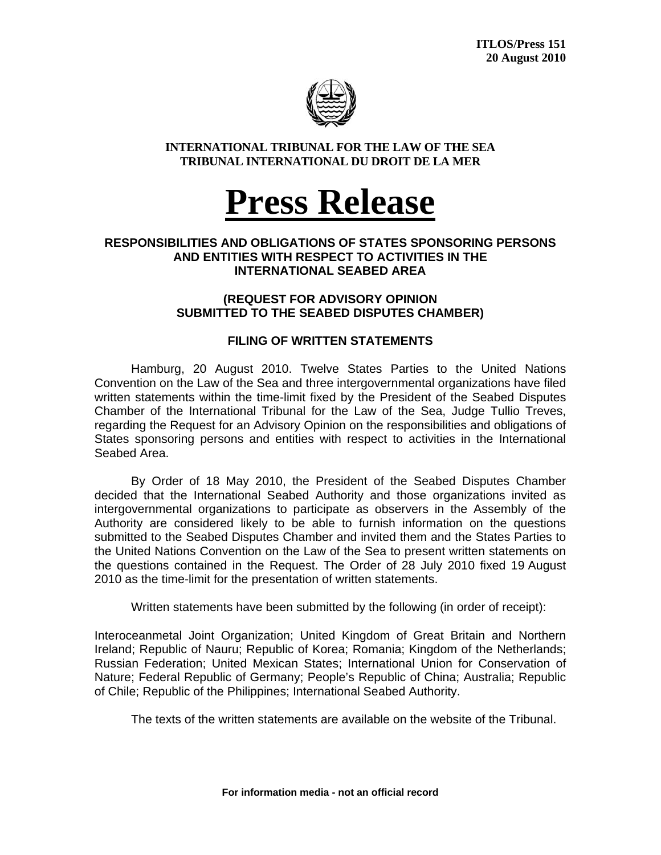

#### **INTERNATIONAL TRIBUNAL FOR THE LAW OF THE SEA TRIBUNAL INTERNATIONAL DU DROIT DE LA MER**

# **Press Release**

### **RESPONSIBILITIES AND OBLIGATIONS OF STATES SPONSORING PERSONS AND ENTITIES WITH RESPECT TO ACTIVITIES IN THE INTERNATIONAL SEABED AREA**

### **(REQUEST FOR ADVISORY OPINION SUBMITTED TO THE SEABED DISPUTES CHAMBER)**

## **FILING OF WRITTEN STATEMENTS**

 Hamburg, 20 August 2010. Twelve States Parties to the United Nations Convention on the Law of the Sea and three intergovernmental organizations have filed written statements within the time-limit fixed by the President of the Seabed Disputes Chamber of the International Tribunal for the Law of the Sea, Judge Tullio Treves, regarding the Request for an Advisory Opinion on the responsibilities and obligations of States sponsoring persons and entities with respect to activities in the International Seabed Area.

 By Order of 18 May 2010, the President of the Seabed Disputes Chamber decided that the International Seabed Authority and those organizations invited as intergovernmental organizations to participate as observers in the Assembly of the Authority are considered likely to be able to furnish information on the questions submitted to the Seabed Disputes Chamber and invited them and the States Parties to the United Nations Convention on the Law of the Sea to present written statements on the questions contained in the Request. The Order of 28 July 2010 fixed 19 August 2010 as the time-limit for the presentation of written statements.

Written statements have been submitted by the following (in order of receipt):

Interoceanmetal Joint Organization; United Kingdom of Great Britain and Northern Ireland; Republic of Nauru; Republic of Korea; Romania; Kingdom of the Netherlands; Russian Federation; United Mexican States; International Union for Conservation of Nature; Federal Republic of Germany; People's Republic of China; Australia; Republic of Chile; Republic of the Philippines; International Seabed Authority.

The texts of the written statements are available on the website of the Tribunal.